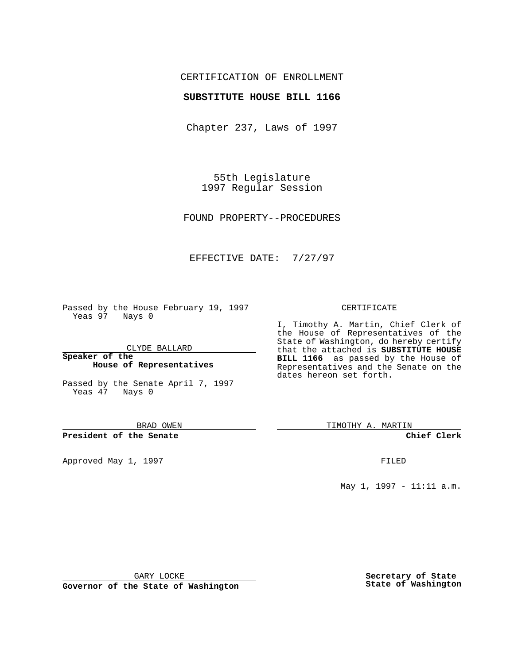## CERTIFICATION OF ENROLLMENT

### **SUBSTITUTE HOUSE BILL 1166**

Chapter 237, Laws of 1997

55th Legislature 1997 Regular Session

FOUND PROPERTY--PROCEDURES

## EFFECTIVE DATE: 7/27/97

Passed by the House February 19, 1997 Yeas 97 Nays 0

CLYDE BALLARD

**Speaker of the House of Representatives**

Passed by the Senate April 7, 1997 Yeas 47 Nays 0

BRAD OWEN

**President of the Senate**

Approved May 1, 1997 **FILED** 

#### CERTIFICATE

I, Timothy A. Martin, Chief Clerk of the House of Representatives of the State of Washington, do hereby certify that the attached is **SUBSTITUTE HOUSE BILL 1166** as passed by the House of Representatives and the Senate on the dates hereon set forth.

TIMOTHY A. MARTIN

**Chief Clerk**

May 1, 1997 - 11:11 a.m.

GARY LOCKE

**Governor of the State of Washington**

**Secretary of State State of Washington**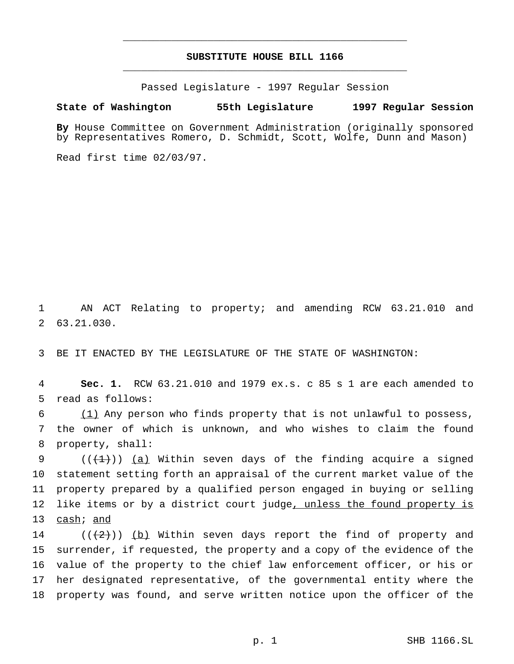# **SUBSTITUTE HOUSE BILL 1166** \_\_\_\_\_\_\_\_\_\_\_\_\_\_\_\_\_\_\_\_\_\_\_\_\_\_\_\_\_\_\_\_\_\_\_\_\_\_\_\_\_\_\_\_\_\_\_

\_\_\_\_\_\_\_\_\_\_\_\_\_\_\_\_\_\_\_\_\_\_\_\_\_\_\_\_\_\_\_\_\_\_\_\_\_\_\_\_\_\_\_\_\_\_\_

Passed Legislature - 1997 Regular Session

#### **State of Washington 55th Legislature 1997 Regular Session**

**By** House Committee on Government Administration (originally sponsored by Representatives Romero, D. Schmidt, Scott, Wolfe, Dunn and Mason)

Read first time 02/03/97.

1 AN ACT Relating to property; and amending RCW 63.21.010 and 2 63.21.030.

3 BE IT ENACTED BY THE LEGISLATURE OF THE STATE OF WASHINGTON:

4 **Sec. 1.** RCW 63.21.010 and 1979 ex.s. c 85 s 1 are each amended to 5 read as follows:

 $6$  (1) Any person who finds property that is not unlawful to possess, 7 the owner of which is unknown, and who wishes to claim the found 8 property, shall:

 $((+1))$  (a) Within seven days of the finding acquire a signed statement setting forth an appraisal of the current market value of the property prepared by a qualified person engaged in buying or selling 12 like items or by a district court judge, unless the found property is cash; and

 $((+2))$  (b) Within seven days report the find of property and surrender, if requested, the property and a copy of the evidence of the value of the property to the chief law enforcement officer, or his or her designated representative, of the governmental entity where the property was found, and serve written notice upon the officer of the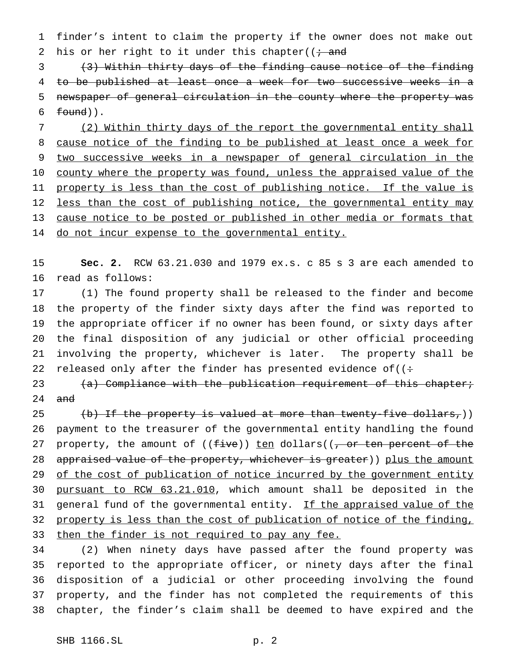1 finder's intent to claim the property if the owner does not make out 2 his or her right to it under this chapter( $\left(i + \text{and} \right)$ 

 (3) Within thirty days of the finding cause notice of the finding to be published at least once a week for two successive weeks in a newspaper of general circulation in the county where the property was 6  $found)$ .

7 (2) Within thirty days of the report the governmental entity shall 8 cause notice of the finding to be published at least once a week for 9 two successive weeks in a newspaper of general circulation in the 10 county where the property was found, unless the appraised value of the 11 property is less than the cost of publishing notice. If the value is 12 less than the cost of publishing notice, the governmental entity may 13 cause notice to be posted or published in other media or formats that 14 do not incur expense to the governmental entity.

15 **Sec. 2.** RCW 63.21.030 and 1979 ex.s. c 85 s 3 are each amended to 16 read as follows:

 (1) The found property shall be released to the finder and become the property of the finder sixty days after the find was reported to the appropriate officer if no owner has been found, or sixty days after the final disposition of any judicial or other official proceeding involving the property, whichever is later. The property shall be 22 released only after the finder has presented evidence of  $($ :

23 (a) Compliance with the publication requirement of this chapter; 24 <del>and</del>

25 (b) If the property is valued at more than twenty-five dollars,)) 26 payment to the treasurer of the governmental entity handling the found 27 property, the amount of  $((five))$  ten dollars( $(-or$  ten percent of the 28 appraised value of the property, whichever is greater)) plus the amount 29 of the cost of publication of notice incurred by the government entity 30 pursuant to RCW 63.21.010, which amount shall be deposited in the 31 general fund of the governmental entity. If the appraised value of the 32 property is less than the cost of publication of notice of the finding, 33 then the finder is not required to pay any fee.

 (2) When ninety days have passed after the found property was reported to the appropriate officer, or ninety days after the final disposition of a judicial or other proceeding involving the found property, and the finder has not completed the requirements of this chapter, the finder's claim shall be deemed to have expired and the